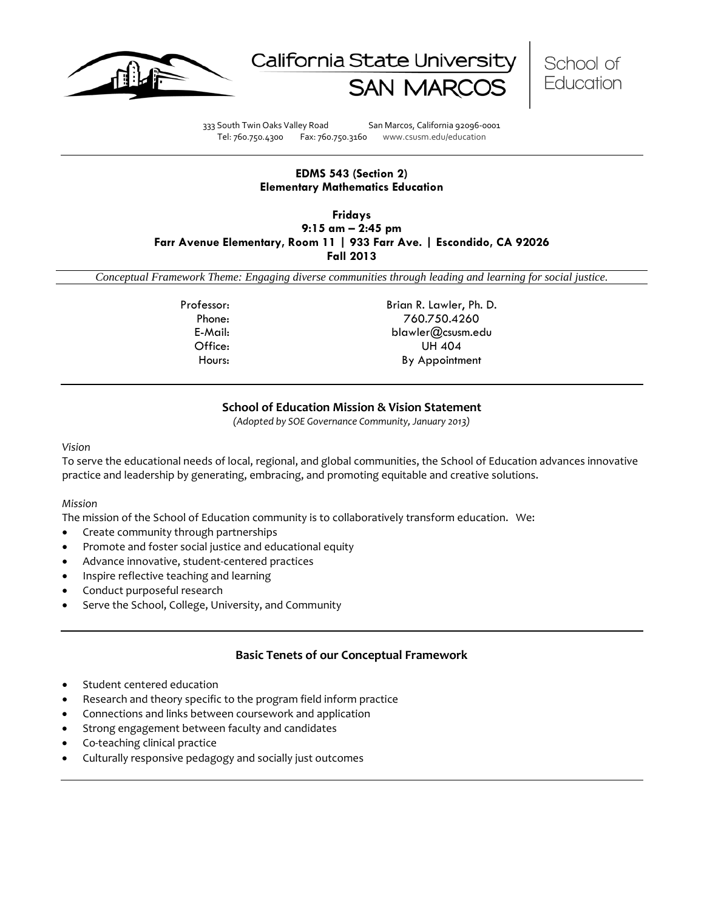





333 South Twin Oaks Valley Road San Marcos, California 92096-0001 Tel: 760.750.4300 Fax: 760.750.3160 www.csusm.edu/education

### **EDMS 543 (Section 2) Elementary Mathematics Education**

**Fridays 9:15 am – 2:45 pm Farr Avenue Elementary, Room 11 | 933 Farr Ave. | Escondido, CA 92026 Fall 2013**

*Conceptual Framework Theme: Engaging diverse communities through leading and learning for social justice.*

Professor: Brian R. Lawler, Ph. D. Phone: 760.750.4260 E-Mail: blawler@csusm.edu Office: UH 404 Hours: By Appointment

## **School of Education Mission & Vision Statement**

*(Adopted by SOE Governance Community, January 2013)*

*Vision*

To serve the educational needs of local, regional, and global communities, the School of Education advances innovative practice and leadership by generating, embracing, and promoting equitable and creative solutions.

#### *Mission*

The mission of the School of Education community is to collaboratively transform education. We:

- Create community through partnerships
- Promote and foster social justice and educational equity
- Advance innovative, student-centered practices
- Inspire reflective teaching and learning
- Conduct purposeful research
- Serve the School, College, University, and Community

## **Basic Tenets of our Conceptual Framework**

- Student centered education
- Research and theory specific to the program field inform practice
- Connections and links between coursework and application
- Strong engagement between faculty and candidates
- Co-teaching clinical practice
- Culturally responsive pedagogy and socially just outcomes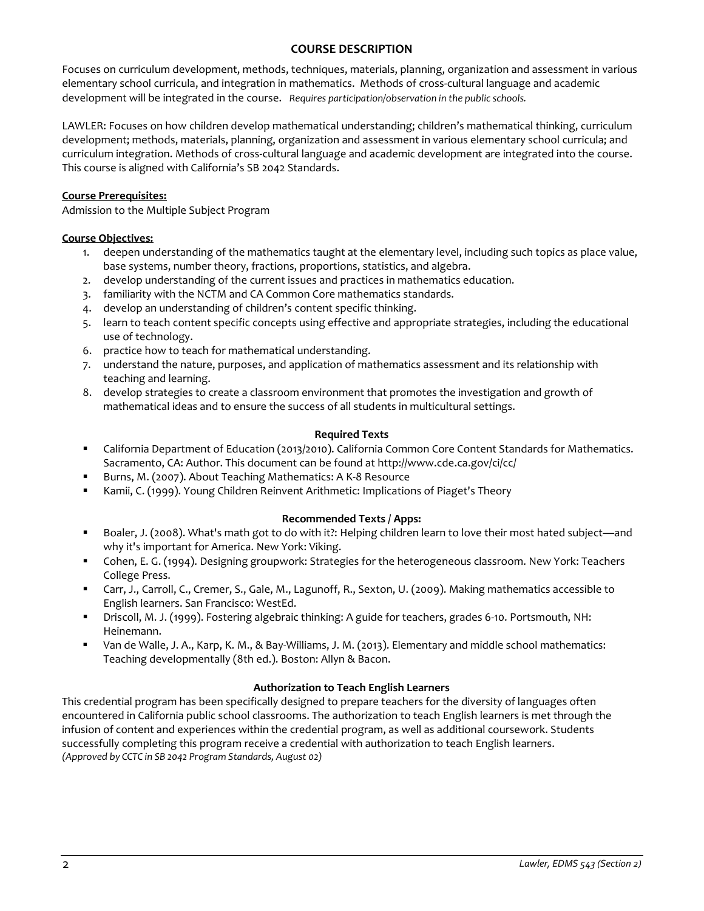### **COURSE DESCRIPTION**

Focuses on curriculum development, methods, techniques, materials, planning, organization and assessment in various elementary school curricula, and integration in mathematics. Methods of cross-cultural language and academic development will be integrated in the course. *Requires participation/observation in the public schools.* 

LAWLER: Focuses on how children develop mathematical understanding; children's mathematical thinking, curriculum development; methods, materials, planning, organization and assessment in various elementary school curricula; and curriculum integration. Methods of cross-cultural language and academic development are integrated into the course. This course is aligned with California's SB 2042 Standards.

### **Course Prerequisites:**

Admission to the Multiple Subject Program

### **Course Objectives:**

- 1. deepen understanding of the mathematics taught at the elementary level, including such topics as place value, base systems, number theory, fractions, proportions, statistics, and algebra.
- 2. develop understanding of the current issues and practices in mathematics education.
- 3. familiarity with the NCTM and CA Common Core mathematics standards.
- 4. develop an understanding of children's content specific thinking.
- 5. learn to teach content specific concepts using effective and appropriate strategies, including the educational use of technology.
- 6. practice how to teach for mathematical understanding.
- 7. understand the nature, purposes, and application of mathematics assessment and its relationship with teaching and learning.
- 8. develop strategies to create a classroom environment that promotes the investigation and growth of mathematical ideas and to ensure the success of all students in multicultural settings.

### **Required Texts**

- California Department of Education (2013/2010). California Common Core Content Standards for Mathematics. Sacramento, CA: Author. This document can be found at http://www.cde.ca.gov/ci/cc/
- Burns, M. (2007). About Teaching Mathematics: A K-8 Resource
- Kamii, C. (1999). Young Children Reinvent Arithmetic: Implications of Piaget's Theory

## **Recommended Texts / Apps:**

- Boaler, J. (2008). What's math got to do with it?: Helping children learn to love their most hated subject—and why it's important for America. New York: Viking.
- Cohen, E. G. (1994). Designing groupwork: Strategies for the heterogeneous classroom. New York: Teachers College Press.
- Carr, J., Carroll, C., Cremer, S., Gale, M., Lagunoff, R., Sexton, U. (2009). Making mathematics accessible to English learners. San Francisco: WestEd.
- Driscoll, M. J. (1999). Fostering algebraic thinking: A guide for teachers, grades 6-10. Portsmouth, NH: Heinemann.
- Van de Walle, J. A., Karp, K. M., & Bay-Williams, J. M. (2013). Elementary and middle school mathematics: Teaching developmentally (8th ed.). Boston: Allyn & Bacon.

## **Authorization to Teach English Learners**

This credential program has been specifically designed to prepare teachers for the diversity of languages often encountered in California public school classrooms. The authorization to teach English learners is met through the infusion of content and experiences within the credential program, as well as additional coursework. Students successfully completing this program receive a credential with authorization to teach English learners. *(Approved by CCTC in SB 2042 Program Standards, August 02)*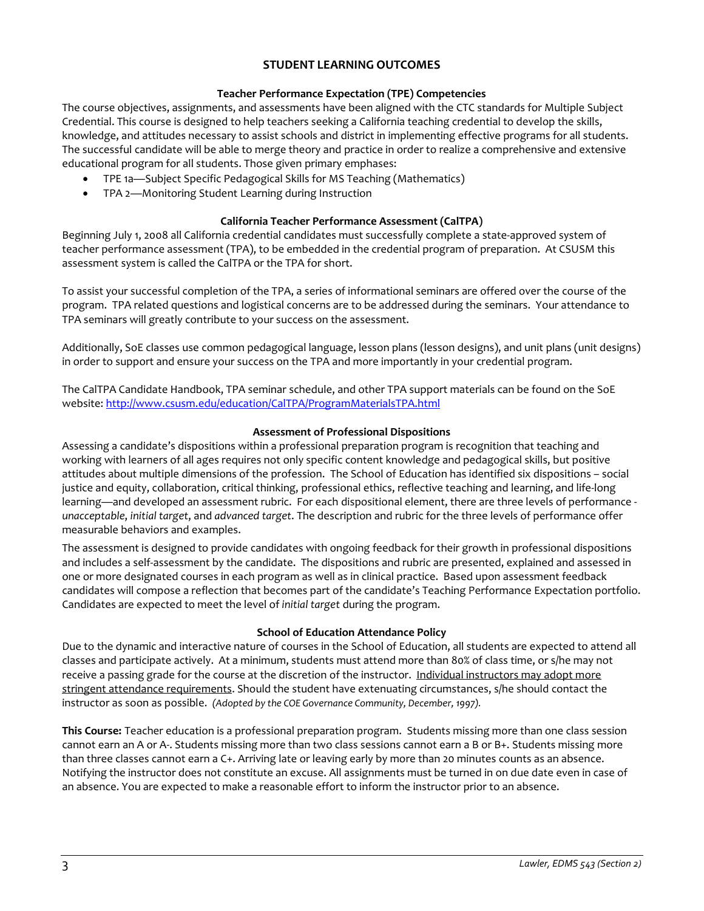## **STUDENT LEARNING OUTCOMES**

### **Teacher Performance Expectation (TPE) Competencies**

The course objectives, assignments, and assessments have been aligned with the CTC standards for Multiple Subject Credential. This course is designed to help teachers seeking a California teaching credential to develop the skills, knowledge, and attitudes necessary to assist schools and district in implementing effective programs for all students. The successful candidate will be able to merge theory and practice in order to realize a comprehensive and extensive educational program for all students. Those given primary emphases:

- TPE 1a—Subject Specific Pedagogical Skills for MS Teaching (Mathematics)
- TPA 2—Monitoring Student Learning during Instruction

### **California Teacher Performance Assessment (CalTPA)**

Beginning July 1, 2008 all California credential candidates must successfully complete a state-approved system of teacher performance assessment (TPA), to be embedded in the credential program of preparation. At CSUSM this assessment system is called the CalTPA or the TPA for short.

To assist your successful completion of the TPA, a series of informational seminars are offered over the course of the program. TPA related questions and logistical concerns are to be addressed during the seminars. Your attendance to TPA seminars will greatly contribute to your success on the assessment.

Additionally, SoE classes use common pedagogical language, lesson plans (lesson designs), and unit plans (unit designs) in order to support and ensure your success on the TPA and more importantly in your credential program.

The CalTPA Candidate Handbook, TPA seminar schedule, and other TPA support materials can be found on the SoE website[: http://www.csusm.edu/education/CalTPA/ProgramMaterialsTPA.html](http://www.csusm.edu/education/CalTPA/ProgramMaterialsTPA.html)

### **Assessment of Professional Dispositions**

Assessing a candidate's dispositions within a professional preparation program is recognition that teaching and working with learners of all ages requires not only specific content knowledge and pedagogical skills, but positive attitudes about multiple dimensions of the profession. The School of Education has identified six dispositions – social justice and equity, collaboration, critical thinking, professional ethics, reflective teaching and learning, and life-long learning—and developed an assessment rubric. For each dispositional element, there are three levels of performance *unacceptable*, *initial target*, and *advanced target*. The description and rubric for the three levels of performance offer measurable behaviors and examples.

The assessment is designed to provide candidates with ongoing feedback for their growth in professional dispositions and includes a self-assessment by the candidate. The dispositions and rubric are presented, explained and assessed in one or more designated courses in each program as well as in clinical practice. Based upon assessment feedback candidates will compose a reflection that becomes part of the candidate's Teaching Performance Expectation portfolio. Candidates are expected to meet the level of *initial target* during the program.

#### **School of Education Attendance Policy**

Due to the dynamic and interactive nature of courses in the School of Education, all students are expected to attend all classes and participate actively. At a minimum, students must attend more than 80% of class time, or s/he may not receive a passing grade for the course at the discretion of the instructor. Individual instructors may adopt more stringent attendance requirements. Should the student have extenuating circumstances, s/he should contact the instructor as soon as possible. *(Adopted by the COE Governance Community, December, 1997).*

**This Course:** Teacher education is a professional preparation program. Students missing more than one class session cannot earn an A or A-. Students missing more than two class sessions cannot earn a B or B+. Students missing more than three classes cannot earn a C+. Arriving late or leaving early by more than 20 minutes counts as an absence. Notifying the instructor does not constitute an excuse. All assignments must be turned in on due date even in case of an absence. You are expected to make a reasonable effort to inform the instructor prior to an absence.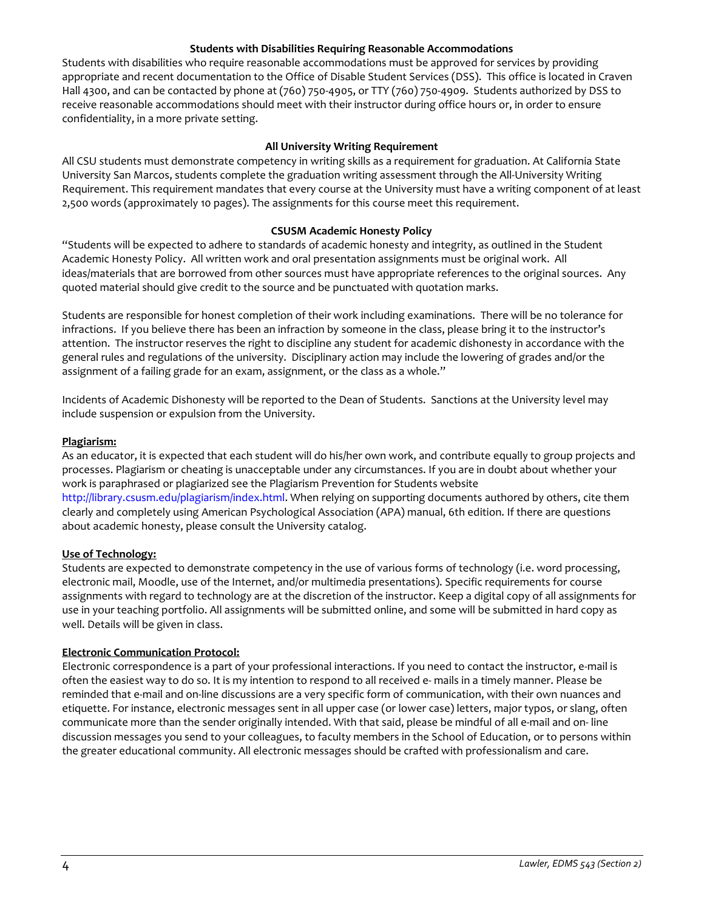#### **Students with Disabilities Requiring Reasonable Accommodations**

Students with disabilities who require reasonable accommodations must be approved for services by providing appropriate and recent documentation to the Office of Disable Student Services (DSS). This office is located in Craven Hall 4300, and can be contacted by phone at (760) 750-4905, or TTY (760) 750-4909. Students authorized by DSS to receive reasonable accommodations should meet with their instructor during office hours or, in order to ensure confidentiality, in a more private setting.

#### **All University Writing Requirement**

All CSU students must demonstrate competency in writing skills as a requirement for graduation. At California State University San Marcos, students complete the graduation writing assessment through the All-University Writing Requirement. This requirement mandates that every course at the University must have a writing component of at least 2,500 words (approximately 10 pages). The assignments for this course meet this requirement.

#### **CSUSM Academic Honesty Policy**

"Students will be expected to adhere to standards of academic honesty and integrity, as outlined in the Student Academic Honesty Policy. All written work and oral presentation assignments must be original work. All ideas/materials that are borrowed from other sources must have appropriate references to the original sources. Any quoted material should give credit to the source and be punctuated with quotation marks.

Students are responsible for honest completion of their work including examinations. There will be no tolerance for infractions. If you believe there has been an infraction by someone in the class, please bring it to the instructor's attention. The instructor reserves the right to discipline any student for academic dishonesty in accordance with the general rules and regulations of the university. Disciplinary action may include the lowering of grades and/or the assignment of a failing grade for an exam, assignment, or the class as a whole."

Incidents of Academic Dishonesty will be reported to the Dean of Students. Sanctions at the University level may include suspension or expulsion from the University.

#### **Plagiarism:**

As an educator, it is expected that each student will do his/her own work, and contribute equally to group projects and processes. Plagiarism or cheating is unacceptable under any circumstances. If you are in doubt about whether your work is paraphrased or plagiarized see the Plagiarism Prevention for Students website http://library.csusm.edu/plagiarism/index.html. When relying on supporting documents authored by others, cite them clearly and completely using American Psychological Association (APA) manual, 6th edition. If there are questions about academic honesty, please consult the University catalog.

#### **Use of Technology:**

Students are expected to demonstrate competency in the use of various forms of technology (i.e. word processing, electronic mail, Moodle, use of the Internet, and/or multimedia presentations). Specific requirements for course assignments with regard to technology are at the discretion of the instructor. Keep a digital copy of all assignments for use in your teaching portfolio. All assignments will be submitted online, and some will be submitted in hard copy as well. Details will be given in class.

#### **Electronic Communication Protocol:**

Electronic correspondence is a part of your professional interactions. If you need to contact the instructor, e-mail is often the easiest way to do so. It is my intention to respond to all received e- mails in a timely manner. Please be reminded that e-mail and on-line discussions are a very specific form of communication, with their own nuances and etiquette. For instance, electronic messages sent in all upper case (or lower case) letters, major typos, or slang, often communicate more than the sender originally intended. With that said, please be mindful of all e-mail and on- line discussion messages you send to your colleagues, to faculty members in the School of Education, or to persons within the greater educational community. All electronic messages should be crafted with professionalism and care.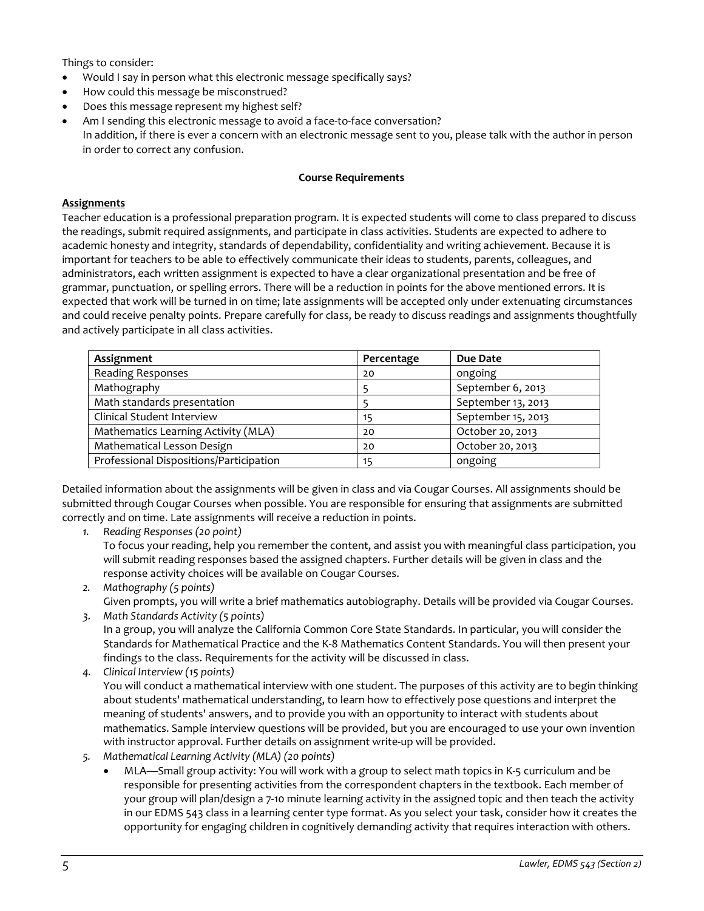Things to consider:

- Would I say in person what this electronic message specifically says?
- How could this message be misconstrued?
- Does this message represent my highest self?
- Am I sending this electronic message to avoid a face-to-face conversation? In addition, if there is ever a concern with an electronic message sent to you, please talk with the author in person in order to correct any confusion.

#### **Course Requirements**

#### **Assignments**

Teacher education is a professional preparation program. It is expected students will come to class prepared to discuss the readings, submit required assignments, and participate in class activities. Students are expected to adhere to academic honesty and integrity, standards of dependability, confidentiality and writing achievement. Because it is important for teachers to be able to effectively communicate their ideas to students, parents, colleagues, and administrators, each written assignment is expected to have a clear organizational presentation and be free of grammar, punctuation, or spelling errors. There will be a reduction in points for the above mentioned errors. It is expected that work will be turned in on time; late assignments will be accepted only under extenuating circumstances and could receive penalty points. Prepare carefully for class, be ready to discuss readings and assignments thoughtfully and actively participate in all class activities.

| Assignment                              | Percentage | Due Date           |
|-----------------------------------------|------------|--------------------|
| Reading Responses                       | 20         | ongoing            |
| Mathography                             |            | September 6, 2013  |
| Math standards presentation             |            | September 13, 2013 |
| Clinical Student Interview              | 15         | September 15, 2013 |
| Mathematics Learning Activity (MLA)     | 20         | October 20, 2013   |
| Mathematical Lesson Design              | 20         | October 20, 2013   |
| Professional Dispositions/Participation | 15         | ongoing            |

Detailed information about the assignments will be given in class and via Cougar Courses. All assignments should be submitted through Cougar Courses when possible. You are responsible for ensuring that assignments are submitted correctly and on time. Late assignments will receive a reduction in points.

*1. Reading Responses (20 point)*

To focus your reading, help you remember the content, and assist you with meaningful class participation, you will submit reading responses based the assigned chapters. Further details will be given in class and the response activity choices will be available on Cougar Courses.

- *2. Mathography (5 points)* Given prompts, you will write a brief mathematics autobiography. Details will be provided via Cougar Courses. *3. Math Standards Activity (5 points)*
- In a group, you will analyze the California Common Core State Standards. In particular, you will consider the Standards for Mathematical Practice and the K-8 Mathematics Content Standards. You will then present your findings to the class. Requirements for the activity will be discussed in class.
- *4. Clinical Interview (15 points)* You will conduct a mathematical interview with one student. The purposes of this activity are to begin thinking about students' mathematical understanding, to learn how to effectively pose questions and interpret the meaning of students' answers, and to provide you with an opportunity to interact with students about mathematics. Sample interview questions will be provided, but you are encouraged to use your own invention with instructor approval. Further details on assignment write-up will be provided.
- *5. Mathematical Learning Activity (MLA) (20 points)*
	- MLA—Small group activity: You will work with a group to select math topics in K-5 curriculum and be responsible for presenting activities from the correspondent chapters in the textbook. Each member of your group will plan/design a 7-10 minute learning activity in the assigned topic and then teach the activity in our EDMS 543 class in a learning center type format. As you select your task, consider how it creates the opportunity for engaging children in cognitively demanding activity that requires interaction with others.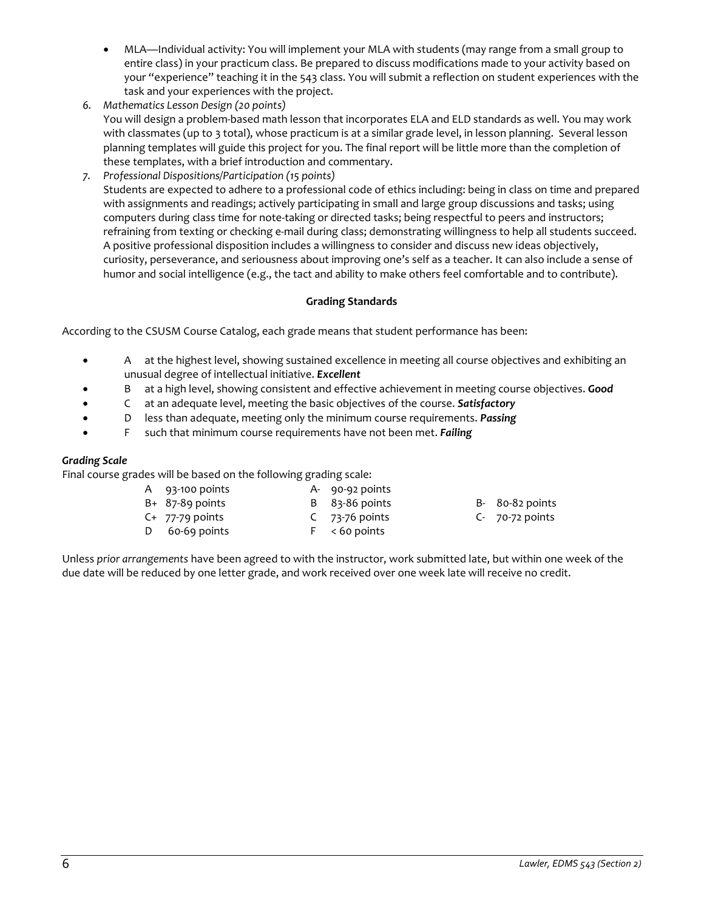- MLA—Individual activity: You will implement your MLA with students (may range from a small group to entire class) in your practicum class. Be prepared to discuss modifications made to your activity based on your "experience" teaching it in the 543 class. You will submit a reflection on student experiences with the task and your experiences with the project.
- *6. Mathematics Lesson Design (20 points)* You will design a problem-based math lesson that incorporates ELA and ELD standards as well. You may work with classmates (up to 3 total), whose practicum is at a similar grade level, in lesson planning. Several lesson planning templates will guide this project for you. The final report will be little more than the completion of these templates, with a brief introduction and commentary.
- *7. Professional Dispositions/Participation (15 points)* Students are expected to adhere to a professional code of ethics including: being in class on time and prepared with assignments and readings; actively participating in small and large group discussions and tasks; using computers during class time for note-taking or directed tasks; being respectful to peers and instructors; refraining from texting or checking e-mail during class; demonstrating willingness to help all students succeed. A positive professional disposition includes a willingness to consider and discuss new ideas objectively, curiosity, perseverance, and seriousness about improving one's self as a teacher. It can also include a sense of humor and social intelligence (e.g., the tact and ability to make others feel comfortable and to contribute).

## **Grading Standards**

According to the CSUSM Course Catalog, each grade means that student performance has been:

- A at the highest level, showing sustained excellence in meeting all course objectives and exhibiting an unusual degree of intellectual initiative. *Excellent*
- B at a high level, showing consistent and effective achievement in meeting course objectives. *Good*
- C at an adequate level, meeting the basic objectives of the course. *Satisfactory*
- D less than adequate, meeting only the minimum course requirements. *Passing*
- F such that minimum course requirements have not been met. *Failing*

#### *Grading Scale*

Final course grades will be based on the following grading scale:

- A 93-100 points A- 90-92 points B+ 87-89 points B 83-86 points B- 80-82 points
- 
- 
- C+ 77-79 points C 73-76 points C- 70-72 points D 60-69 points F < 60 points
	-
	-

Unless *prior arrangements* have been agreed to with the instructor, work submitted late, but within one week of the due date will be reduced by one letter grade, and work received over one week late will receive no credit.